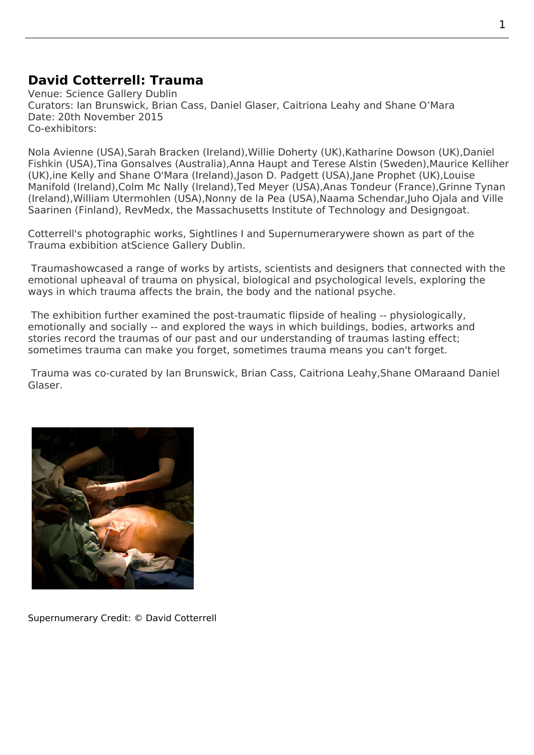## **David Cotterrell: Trauma**

Venue: Science Gallery Dublin Curators: Ian Brunswick, Brian Cass, Daniel Glaser, Caitriona Leahy and Shane O'Mara Date: 20th November 2015 Co-exhibitors:

Nola Avienne (USA),Sarah Bracken (Ireland),Willie Doherty (UK),Katharine Dowson (UK),Daniel Fishkin (USA),Tina Gonsalves (Australia),Anna Haupt and Terese Alstin (Sweden),Maurice Kelliher (UK),ine Kelly and Shane O'Mara (Ireland),Jason D. Padgett (USA),Jane Prophet (UK),Louise Manifold (Ireland),Colm Mc Nally (Ireland),Ted Meyer (USA),Anas Tondeur (France),Grinne Tynan [\(Ireland\),Willi](http://nolaavienne.com)am Ut[ermohlen \(USA\)](https://www.brackensarah.com/),Nonny d[e la Pea \(USA\),](http://www.kerlingallery.com/artists/willie-doherty)Naa[ma Schendar,Juho O](http://katharinedowson.com/)jala [and Vil](http://dfiction.com/)le [Saarine](http://dfiction.com/)n (Finl[and\), RevMedx,](http://tinagonsalves.com/) the Massa[chusetts Institute of Technolog](https://hovding.com/)y and Des[igngoat.](https://mauricekelliher.com/)

[Cotterrel](http://www.louisemanifold.com)l's photo[graphic works,](http://cmcndesign.com/) Sightline[s I and Supe](http://www.tedmeyer.com)rnum[erarywere show](http://anais-tondeur.com)n as pa[rt of the](http://www.grainnetynan.com/)  Trauma [exbibition atScience](http://williamutermohlen.org/) Galler[y Dublin.](http://emblematicgroup.com/)

Traumashowcased a range of works by artists, scientists and designers that connected with the emotional upheaval of trauma o[n physical, b](http://www.cotterrell.com/projects/4238/for-frank/image-2/)iolo[gical and psycho](http://www.cotterrell.com/projects/4238/for-frank/image-4/)logical levels, exploring the [ways in](https://dublin.sciencegallery.com/trauma/) which traum[a affects the brain, the](https://dublin.sciencegallery.com/) body and the national psyche.

 [The exh](http://dublin.sciencegallery.com/trauma/)ibition further examined the post-traumatic flipside of healing -- physiologically, emotionally and socially -- and explored the ways in which buildings, bodies, artworks and stories record the traumas of our past and our understanding of traumas lasting effect; sometimes trauma can make you forget, sometimes trauma means you can't forget.

Trauma was co-curated by Ian Brunswick, Brian Cass, Caitriona Leahy,Shane OMaraand Daniel Glaser.



Supernumerary Credit: © David Cotterrell